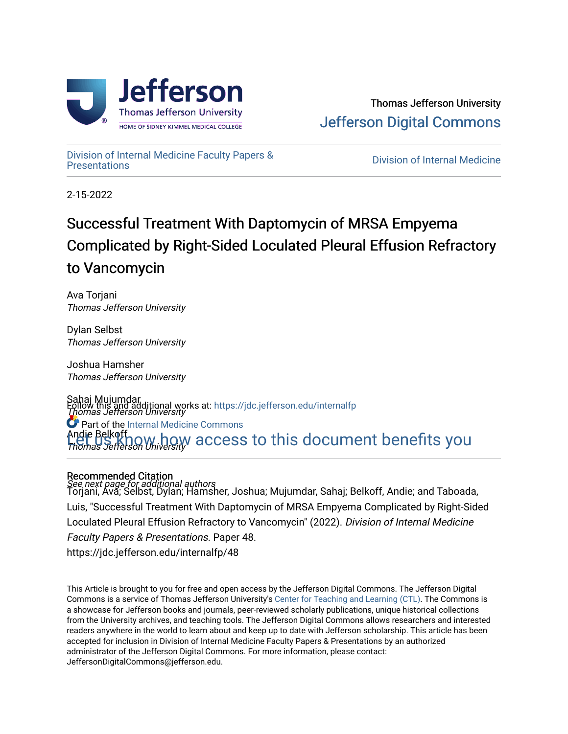

[Division of Internal Medicine Faculty Papers &](https://jdc.jefferson.edu/internalfp) 

**Division of Internal Medicine** 

2-15-2022

# Successful Treatment With Daptomycin of MRSA Empyema Complicated by Right-Sided Loculated Pleural Effusion Refractory to Vancomycin

Ava Torjani Thomas Jefferson University

Dylan Selbst Thomas Jefferson University

Joshua Hamsher Thomas Jefferson University

Sahaj Mujumdar Follow this and additional works at: [https://jdc.jefferson.edu/internalfp](https://jdc.jefferson.edu/internalfp?utm_source=jdc.jefferson.edu%2Finternalfp%2F48&utm_medium=PDF&utm_campaign=PDFCoverPages)<br>*Thomas Jefferson University* Andie Belkoff Thomas Jefferson University **C** Part of the [Internal Medicine Commons](http://network.bepress.com/hgg/discipline/1356?utm_source=jdc.jefferson.edu%2Finternalfp%2F48&utm_medium=PDF&utm_campaign=PDFCoverPages) W.how access to this document benefits you

### Recommended Citation

See next page for additional authors<br>Torjani, Ava; Selbst, Dylan; Hamsher, Joshua; Mujumdar, Sahaj; Belkoff, Andie; and Taboada, Luis, "Successful Treatment With Daptomycin of MRSA Empyema Complicated by Right-Sided Loculated Pleural Effusion Refractory to Vancomycin" (2022). Division of Internal Medicine Faculty Papers & Presentations. Paper 48. https://jdc.jefferson.edu/internalfp/48

This Article is brought to you for free and open access by the Jefferson Digital Commons. The Jefferson Digital Commons is a service of Thomas Jefferson University's [Center for Teaching and Learning \(CTL\)](http://www.jefferson.edu/university/teaching-learning.html/). The Commons is a showcase for Jefferson books and journals, peer-reviewed scholarly publications, unique historical collections from the University archives, and teaching tools. The Jefferson Digital Commons allows researchers and interested readers anywhere in the world to learn about and keep up to date with Jefferson scholarship. This article has been accepted for inclusion in Division of Internal Medicine Faculty Papers & Presentations by an authorized administrator of the Jefferson Digital Commons. For more information, please contact: JeffersonDigitalCommons@jefferson.edu.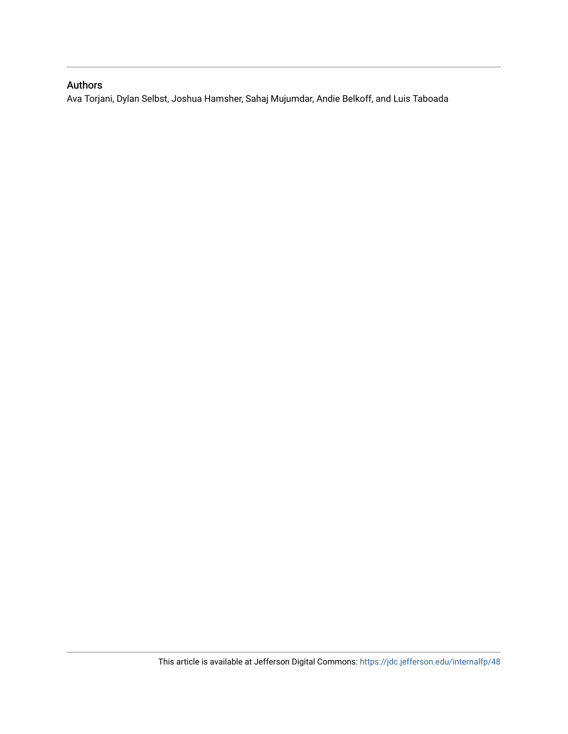## Authors

Ava Torjani, Dylan Selbst, Joshua Hamsher, Sahaj Mujumdar, Andie Belkoff, and Luis Taboada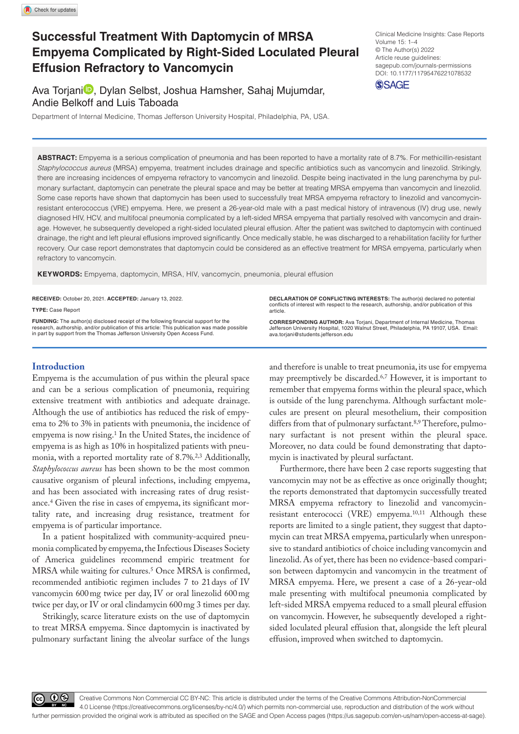# **Successful Treatment With Daptomycin of MRSA Empyema Complicated by Right-Sided Loculated Pleural Effusion Refractory to Vancomycin**

Ava Torjani<sup>n</sup>, Dylan Selbst, Joshua Hamsher, Sahaj Mujumdar, Andie Belkoff and Luis Taboada

Department of Internal Medicine, Thomas Jefferson University Hospital, Philadelphia, PA, USA.

DOI: 10.1177/11795476221078532 Clinical Medicine Insights: Case Reports Volume 15: 1–4 © The Author(s) 2022 Article reuse guidelines: [sagepub.com/journals-permissions](https://uk.sagepub.com/en-gb/journals-permissions)



**ABSTRACT:** Empyema is a serious complication of pneumonia and has been reported to have a mortality rate of 8.7%. For methicillin-resistant *Staphylococcus aureus* (MRSA) empyema, treatment includes drainage and specific antibiotics such as vancomycin and linezolid. Strikingly, there are increasing incidences of empyema refractory to vancomycin and linezolid. Despite being inactivated in the lung parenchyma by pulmonary surfactant, daptomycin can penetrate the pleural space and may be better at treating MRSA empyema than vancomycin and linezolid. Some case reports have shown that daptomycin has been used to successfully treat MRSA empyema refractory to linezolid and vancomycinresistant enterococcus (VRE) empyema. Here, we present a 26-year-old male with a past medical history of intravenous (IV) drug use, newly diagnosed HIV, HCV, and multifocal pneumonia complicated by a left-sided MRSA empyema that partially resolved with vancomycin and drainage. However, he subsequently developed a right-sided loculated pleural effusion. After the patient was switched to daptomycin with continued drainage, the right and left pleural effusions improved significantly. Once medically stable, he was discharged to a rehabilitation facility for further recovery. Our case report demonstrates that daptomycin could be considered as an effective treatment for MRSA empyema, particularly when refractory to vancomycin.

**Keywords:** Empyema, daptomycin, MRSA, HIV, vancomycin, pneumonia, pleural effusion

**RECEIVED:** October 20, 2021. **ACCEPTED:** January 13, 2022.

**Type:** Case Report

**FUNDING:** The author(s) disclosed receipt of the following financial support for the<br>research, authorship, and/or publication of this article: This publication was made possible<br>in part by support from the Thomas Jefferso

#### **Introduction**

Empyema is the accumulation of pus within the pleural space and can be a serious complication of pneumonia, requiring extensive treatment with antibiotics and adequate drainage. Although the use of antibiotics has reduced the risk of empyema to 2% to 3% in patients with pneumonia, the incidence of empyema is now rising.<sup>1</sup> In the United States, the incidence of empyema is as high as 10% in hospitalized patients with pneumonia, with a reported mortality rate of 8.7%.2,3 Additionally, *Staphylococcus aureus* has been shown to be the most common causative organism of pleural infections, including empyema, and has been associated with increasing rates of drug resistance.4 Given the rise in cases of empyema, its significant mortality rate, and increasing drug resistance, treatment for empyema is of particular importance.

In a patient hospitalized with community-acquired pneumonia complicated by empyema, the Infectious Diseases Society of America guidelines recommend empiric treatment for MRSA while waiting for cultures.5 Once MRSA is confirmed, recommended antibiotic regimen includes 7 to 21days of IV vancomycin 600mg twice per day, IV or oral linezolid 600mg twice per day, or IV or oral clindamycin 600mg 3 times per day.

Strikingly, scarce literature exists on the use of daptomycin to treat MRSA empyema. Since daptomycin is inactivated by pulmonary surfactant lining the alveolar surface of the lungs

**Declaration of Conflicting Interests:** The author(s) declared no potential conflicts of interest with respect to the research, authorship, and/or publication of this article.

**CORRESPONDING AUTHOR:** Ava Torjani, Department of Internal Medicine, Thomas Jefferson University Hospital, 1020 Walnut Street, Philadelphia, PA 19107, USA. Email: [ava.torjani@students.jefferson.edu](mailto:ava.torjani@students.jefferson.edu)

and therefore is unable to treat pneumonia, its use for empyema may preemptively be discarded.6,7 However, it is important to remember that empyema forms within the pleural space, which is outside of the lung parenchyma. Although surfactant molecules are present on pleural mesothelium, their composition differs from that of pulmonary surfactant.<sup>8,9</sup> Therefore, pulmonary surfactant is not present within the pleural space. Moreover, no data could be found demonstrating that daptomycin is inactivated by pleural surfactant.

Furthermore, there have been 2 case reports suggesting that vancomycin may not be as effective as once originally thought; the reports demonstrated that daptomycin successfully treated MRSA empyema refractory to linezolid and vancomycinresistant enterococci (VRE) empyema.10,11 Although these reports are limited to a single patient, they suggest that daptomycin can treat MRSA empyema, particularly when unresponsive to standard antibiotics of choice including vancomycin and linezolid. As of yet, there has been no evidence-based comparison between daptomycin and vancomycin in the treatment of MRSA empyema. Here, we present a case of a 26-year-old male presenting with multifocal pneumonia complicated by left-sided MRSA empyema reduced to a small pleural effusion on vancomycin. However, he subsequently developed a rightsided loculated pleural effusion that, alongside the left pleural effusion, improved when switched to daptomycin.

60 Q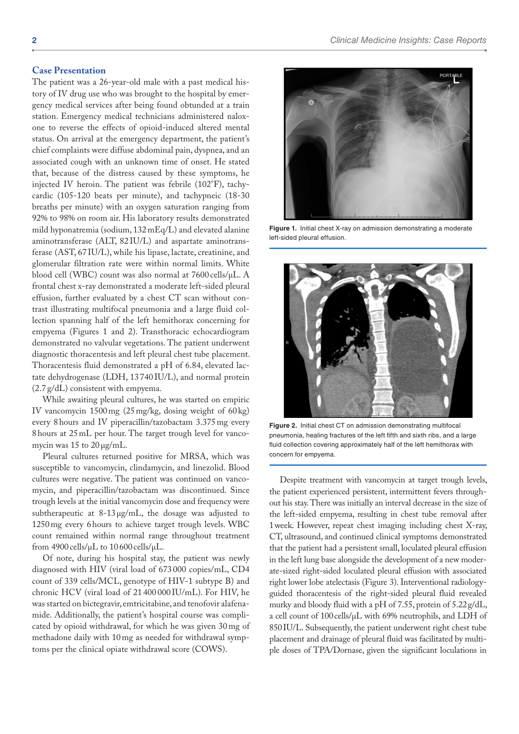#### **Case Presentation**

The patient was a 26-year-old male with a past medical history of IV drug use who was brought to the hospital by emergency medical services after being found obtunded at a train station. Emergency medical technicians administered naloxone to reverse the effects of opioid-induced altered mental status. On arrival at the emergency department, the patient's chief complaints were diffuse abdominal pain, dyspnea, and an associated cough with an unknown time of onset. He stated that, because of the distress caused by these symptoms, he injected IV heroin. The patient was febrile (102°F), tachycardic (105-120 beats per minute), and tachypneic (18-30 breaths per minute) with an oxygen saturation ranging from 92% to 98% on room air. His laboratory results demonstrated mild hyponatremia (sodium, 132 mEq/L) and elevated alanine aminotransferase (ALT, 82 IU/L) and aspartate aminotransferase (AST, 67 IU/L), while his lipase, lactate, creatinine, and glomerular filtration rate were within normal limits. White blood cell (WBC) count was also normal at 7600 cells/µL. A frontal chest x-ray demonstrated a moderate left-sided pleural effusion, further evaluated by a chest CT scan without contrast illustrating multifocal pneumonia and a large fluid collection spanning half of the left hemithorax concerning for empyema (Figures 1 and 2). Transthoracic echocardiogram demonstrated no valvular vegetations. The patient underwent diagnostic thoracentesis and left pleural chest tube placement. Thoracentesis fluid demonstrated a pH of 6.84, elevated lactate dehydrogenase (LDH, 13 740 IU/L), and normal protein (2.7 g/dL) consistent with empyema.

While awaiting pleural cultures, he was started on empiric IV vancomycin 1500mg (25mg/kg, dosing weight of 60 kg) every 8hours and IV piperacillin/tazobactam 3.375mg every 8hours at 25mL per hour. The target trough level for vancomycin was  $15$  to  $20 \mu g/mL$ .

Pleural cultures returned positive for MRSA, which was susceptible to vancomycin, clindamycin, and linezolid. Blood cultures were negative. The patient was continued on vancomycin, and piperacillin/tazobactam was discontinued. Since trough levels at the initial vancomycin dose and frequency were subtherapeutic at 8-13µg/mL, the dosage was adjusted to 1250mg every 6hours to achieve target trough levels. WBC count remained within normal range throughout treatment from 4900 cells/ $\mu$ L to 10600 cells/ $\mu$ L.

Of note, during his hospital stay, the patient was newly diagnosed with HIV (viral load of 673 000 copies/mL, CD4 count of 339 cells/MCL, genotype of HIV-1 subtype B) and chronic HCV (viral load of 21 400 000 IU/mL). For HIV, he was started on bictegravir, emtricitabine, and tenofovir alafenamide. Additionally, the patient's hospital course was complicated by opioid withdrawal, for which he was given 30 mg of methadone daily with 10mg as needed for withdrawal symptoms per the clinical opiate withdrawal score (COWS).



**Figure 1.** Initial chest X-ray on admission demonstrating a moderate left-sided pleural effusion.



**Figure 2.** Initial chest CT on admission demonstrating multifocal pneumonia, healing fractures of the left fifth and sixth ribs, and a large fluid collection covering approximately half of the left hemithorax with concern for empyema.

Despite treatment with vancomycin at target trough levels, the patient experienced persistent, intermittent fevers throughout his stay. There was initially an interval decrease in the size of the left-sided empyema, resulting in chest tube removal after 1week. However, repeat chest imaging including chest X-ray, CT, ultrasound, and continued clinical symptoms demonstrated that the patient had a persistent small, loculated pleural effusion in the left lung base alongside the development of a new moderate-sized right-sided loculated pleural effusion with associated right lower lobe atelectasis (Figure 3). Interventional radiologyguided thoracentesis of the right-sided pleural fluid revealed murky and bloody fluid with a pH of 7.55, protein of 5.22g/dL, a cell count of 100cells/µL with 69% neutrophils, and LDH of 850IU/L. Subsequently, the patient underwent right chest tube placement and drainage of pleural fluid was facilitated by multiple doses of TPA/Dornase, given the significant loculations in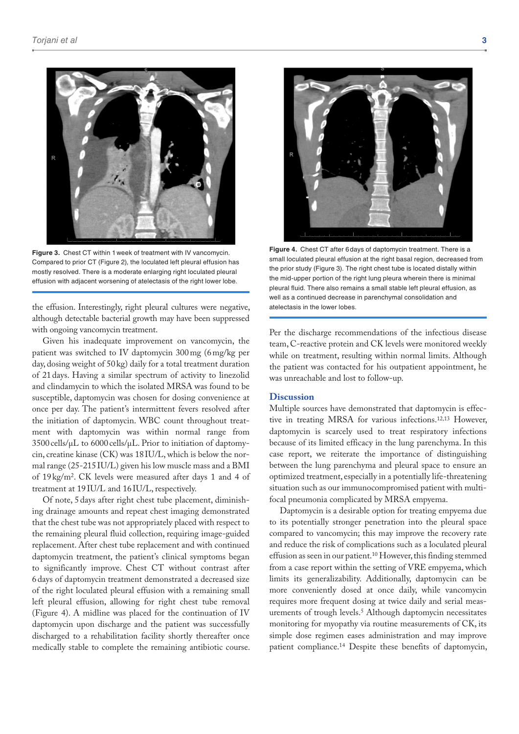

**Figure 3.** Chest CT within 1week of treatment with IV vancomycin. Compared to prior CT (Figure 2), the loculated left pleural effusion has mostly resolved. There is a moderate enlarging right loculated pleural effusion with adjacent worsening of atelectasis of the right lower lobe.

the effusion. Interestingly, right pleural cultures were negative, although detectable bacterial growth may have been suppressed with ongoing vancomycin treatment.

Given his inadequate improvement on vancomycin, the patient was switched to IV daptomycin 300mg (6mg/kg per day, dosing weight of 50 kg) daily for a total treatment duration of 21days. Having a similar spectrum of activity to linezolid and clindamycin to which the isolated MRSA was found to be susceptible, daptomycin was chosen for dosing convenience at once per day. The patient's intermittent fevers resolved after the initiation of daptomycin. WBC count throughout treatment with daptomycin was within normal range from 3500cells/µL to 6000 cells/µL. Prior to initiation of daptomycin, creatine kinase (CK) was 18IU/L, which is below the normal range (25-215 IU/L) given his low muscle mass and a BMI of 19 kg/m2. CK levels were measured after days 1 and 4 of treatment at 19IU/L and 16IU/L, respectively.

Of note, 5days after right chest tube placement, diminishing drainage amounts and repeat chest imaging demonstrated that the chest tube was not appropriately placed with respect to the remaining pleural fluid collection, requiring image-guided replacement. After chest tube replacement and with continued daptomycin treatment, the patient's clinical symptoms began to significantly improve. Chest CT without contrast after 6days of daptomycin treatment demonstrated a decreased size of the right loculated pleural effusion with a remaining small left pleural effusion, allowing for right chest tube removal (Figure 4). A midline was placed for the continuation of IV daptomycin upon discharge and the patient was successfully discharged to a rehabilitation facility shortly thereafter once medically stable to complete the remaining antibiotic course.



**Figure 4.** Chest CT after 6days of daptomycin treatment. There is a small loculated pleural effusion at the right basal region, decreased from the prior study (Figure 3). The right chest tube is located distally within the mid-upper portion of the right lung pleura wherein there is minimal pleural fluid. There also remains a small stable left pleural effusion, as well as a continued decrease in parenchymal consolidation and atelectasis in the lower lobes.

Per the discharge recommendations of the infectious disease team, C-reactive protein and CK levels were monitored weekly while on treatment, resulting within normal limits. Although the patient was contacted for his outpatient appointment, he was unreachable and lost to follow-up.

#### **Discussion**

Multiple sources have demonstrated that daptomycin is effective in treating MRSA for various infections.12,13 However, daptomycin is scarcely used to treat respiratory infections because of its limited efficacy in the lung parenchyma. In this case report, we reiterate the importance of distinguishing between the lung parenchyma and pleural space to ensure an optimized treatment, especially in a potentially life-threatening situation such as our immunocompromised patient with multifocal pneumonia complicated by MRSA empyema.

Daptomycin is a desirable option for treating empyema due to its potentially stronger penetration into the pleural space compared to vancomycin; this may improve the recovery rate and reduce the risk of complications such as a loculated pleural effusion as seen in our patient.<sup>10</sup> However, this finding stemmed from a case report within the setting of VRE empyema, which limits its generalizability. Additionally, daptomycin can be more conveniently dosed at once daily, while vancomycin requires more frequent dosing at twice daily and serial measurements of trough levels.5 Although daptomycin necessitates monitoring for myopathy via routine measurements of CK, its simple dose regimen eases administration and may improve patient compliance.14 Despite these benefits of daptomycin,